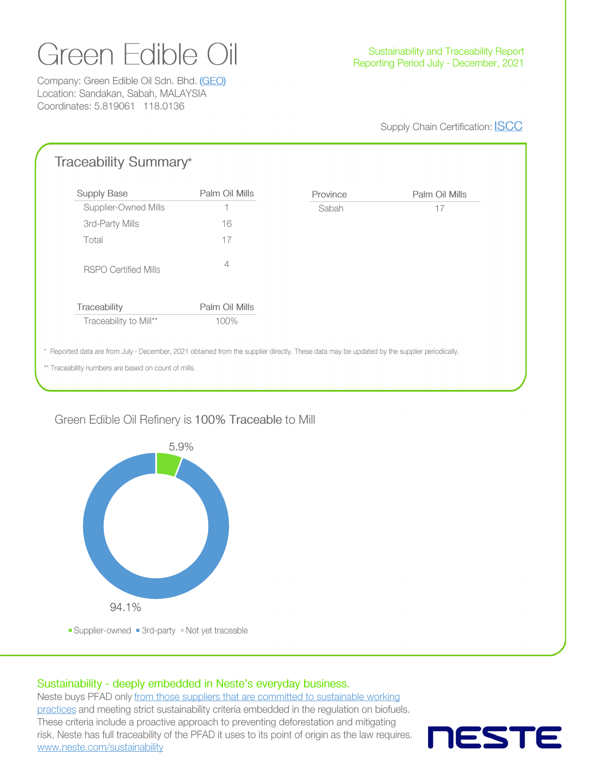# Green Edible Oil

Company: Green Edible Oil Sdn. Bhd. (GEO) Location: Sandakan, Sabah, MALAYSIA Coordinates: 5.819061 118.0136

#### Supply Chain Certification: **ISCC**

| <b>Supply Base</b>          | Palm Oil Mills | Province | Palm Oil Mills |
|-----------------------------|----------------|----------|----------------|
| Supplier-Owned Mills        | н              | Sabah    | 17             |
| 3rd-Party Mills             | 16             |          |                |
| Total                       | 17             |          |                |
| <b>RSPO Certified Mills</b> | 4              |          |                |
|                             | Palm Oil Mills |          |                |
| Traceability to Mill**      | 100%           |          |                |
| Traceability                |                |          |                |

## Green Edible Oil Refinery is 100% Traceable to Mill



Supplier-owned 3rd-party Not yet traceable

## Sustainability - deeply embedded in Neste's everyday business.

Neste buys PFAD only from those suppliers that are committed to sustainable working practices and meeting strict sustainability criteria embedded in the regulation on biofuels. These criteria include a proactive approach to preventing deforestation and mitigating risk. Neste has full traceability of the PFAD it uses to its point of origin as the law requires. www.neste.com/sustainability